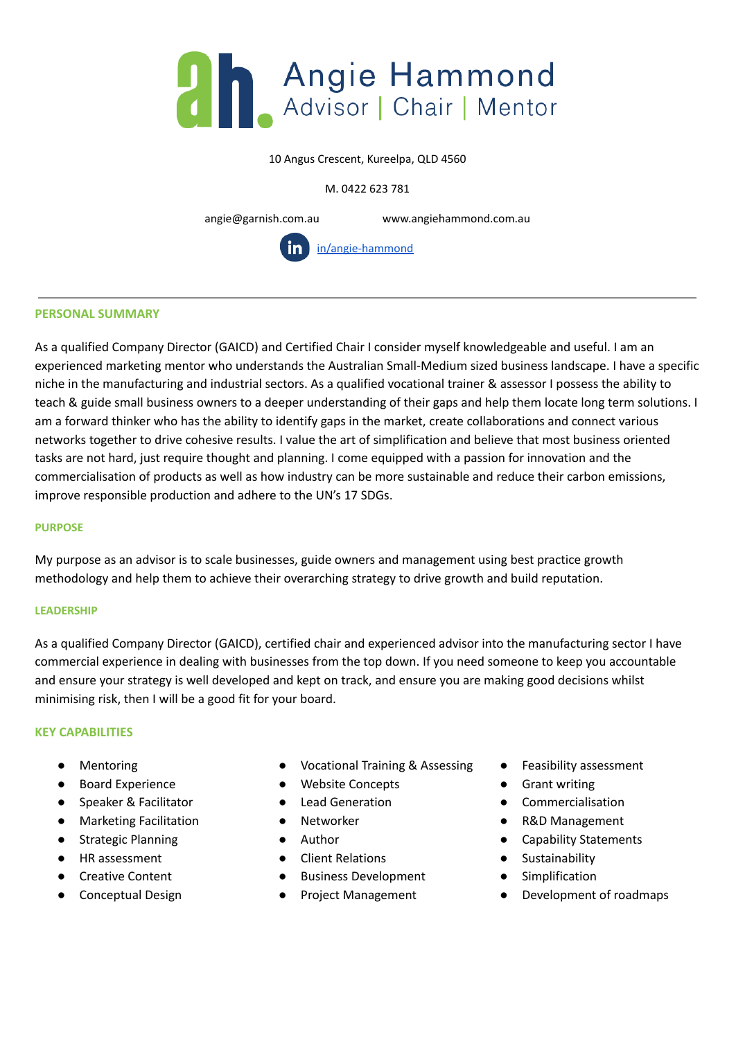# **D. Angie Hammond**<br> **Advisor | Chair | Mentor**

#### 10 Angus Crescent, Kureelpa, QLD 4560

#### M. 0422 623 781

[angie@garnish.com.au](mailto:angie@garnish.com.au) [www.angiehammond.com.au](http://www.angiehammond.com.au)



#### **PERSONAL SUMMARY**

As a qualified Company Director (GAICD) and Certified Chair I consider myself knowledgeable and useful. I am an experienced marketing mentor who understands the Australian Small-Medium sized business landscape. I have a specific niche in the manufacturing and industrial sectors. As a qualified vocational trainer & assessor I possess the ability to teach & guide small business owners to a deeper understanding of their gaps and help them locate long term solutions. I am a forward thinker who has the ability to identify gaps in the market, create collaborations and connect various networks together to drive cohesive results. I value the art of simplification and believe that most business oriented tasks are not hard, just require thought and planning. I come equipped with a passion for innovation and the commercialisation of products as well as how industry can be more sustainable and reduce their carbon emissions, improve responsible production and adhere to the UN's 17 SDGs.

#### **PURPOSE**

My purpose as an advisor is to scale businesses, guide owners and management using best practice growth methodology and help them to achieve their overarching strategy to drive growth and build reputation.

#### **LEADERSHIP**

As a qualified Company Director (GAICD), certified chair and experienced advisor into the manufacturing sector I have commercial experience in dealing with businesses from the top down. If you need someone to keep you accountable and ensure your strategy is well developed and kept on track, and ensure you are making good decisions whilst minimising risk, then I will be a good fit for your board.

#### **KEY CAPABILITIES**

- Mentoring
- Board Experience
- Speaker & Facilitator
- Marketing Facilitation
- Strategic Planning
- HR assessment
- Creative Content
- Conceptual Design
- Vocational Training & Assessing
- Website Concepts
- Lead Generation
- **Networker**
- Author
- Client Relations
- Business Development
- Project Management
- Feasibility assessment
- Grant writing
- Commercialisation
- R&D Management
- Capability Statements
- Sustainability
- Simplification
- Development of roadmaps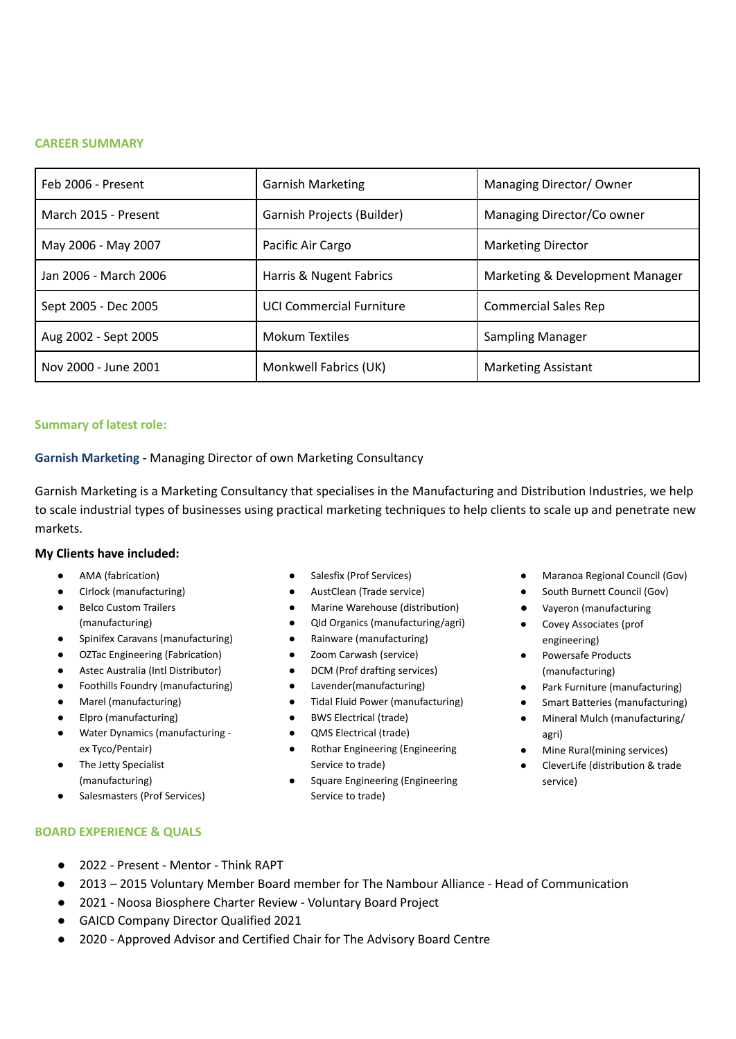### **CAREER SUMMARY**

| Feb 2006 - Present    | <b>Garnish Marketing</b>        | Managing Director/Owner         |
|-----------------------|---------------------------------|---------------------------------|
| March 2015 - Present  | Garnish Projects (Builder)      | Managing Director/Co owner      |
| May 2006 - May 2007   | Pacific Air Cargo               | <b>Marketing Director</b>       |
| Jan 2006 - March 2006 | Harris & Nugent Fabrics         | Marketing & Development Manager |
| Sept 2005 - Dec 2005  | <b>UCI Commercial Furniture</b> | <b>Commercial Sales Rep</b>     |
| Aug 2002 - Sept 2005  | <b>Mokum Textiles</b>           | <b>Sampling Manager</b>         |
| Nov 2000 - June 2001  | Monkwell Fabrics (UK)           | <b>Marketing Assistant</b>      |

### **Summary of latest role:**

# **Garnish Marketing -** Managing Director of own Marketing Consultancy

Garnish Marketing is a Marketing Consultancy that specialises in the Manufacturing and Distribution Industries, we help to scale industrial types of businesses using practical marketing techniques to help clients to scale up and penetrate new markets.

#### **My Clients have included:**

- AMA (fabrication)
- Cirlock (manufacturing)
- Belco Custom Trailers (manufacturing)
- Spinifex Caravans (manufacturing)
- OZTac Engineering (Fabrication)
- Astec Australia (Intl Distributor)
- Foothills Foundry (manufacturing)
- Marel (manufacturing)
- Elpro (manufacturing)
- Water Dynamics (manufacturing ex Tyco/Pentair)
- The Jetty Specialist (manufacturing)
- Salesmasters (Prof Services)
- Salesfix (Prof Services)
- AustClean (Trade service)
- Marine Warehouse (distribution)
- Qld Organics (manufacturing/agri)
- Rainware (manufacturing)
- Zoom Carwash (service)
- DCM (Prof drafting services)
- Lavender(manufacturing)
- Tidal Fluid Power (manufacturing)
- BWS Electrical (trade)
- QMS Electrical (trade)
- Rothar Engineering (Engineering Service to trade)
- Square Engineering (Engineering Service to trade)
- Maranoa Regional Council (Gov)
- South Burnett Council (Gov)
- Vayeron (manufacturing
- Covey Associates (prof engineering)
- Powersafe Products (manufacturing)
- Park Furniture (manufacturing)
- Smart Batteries (manufacturing)
- Mineral Mulch (manufacturing/ agri)
- Mine Rural(mining services)
- CleverLife (distribution & trade service)

- **BOARD EXPERIENCE & QUALS**
	- 2022 Present Mentor Think RAPT
	- 2013 2015 Voluntary Member Board member for The Nambour Alliance Head of Communication
	- 2021 Noosa Biosphere Charter Review Voluntary Board Project
	- **GAICD Company Director Qualified 2021**
	- 2020 Approved Advisor and Certified Chair for The Advisory Board Centre